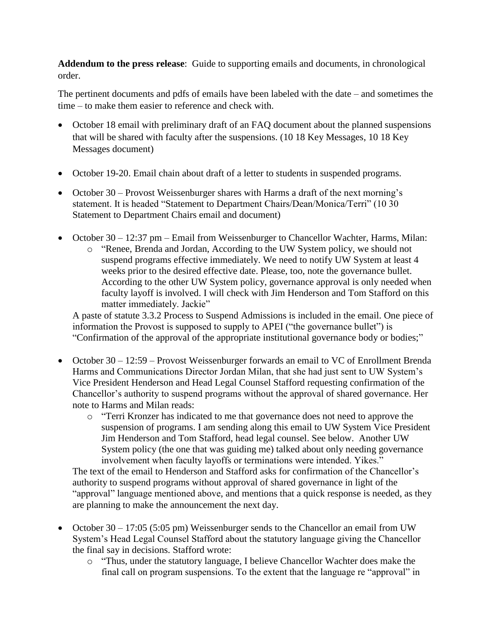**Addendum to the press release**: Guide to supporting emails and documents, in chronological order.

The pertinent documents and pdfs of emails have been labeled with the date – and sometimes the time – to make them easier to reference and check with.

- October 18 email with preliminary draft of an FAQ document about the planned suspensions that will be shared with faculty after the suspensions. (10 18 Key Messages, 10 18 Key Messages document)
- October 19-20. Email chain about draft of a letter to students in suspended programs.
- October 30 Provost Weissenburger shares with Harms a draft of the next morning's statement. It is headed "Statement to Department Chairs/Dean/Monica/Terri" (10 30 Statement to Department Chairs email and document)
- October 30 12:37 pm Email from Weissenburger to Chancellor Wachter, Harms, Milan:
	- o "Renee, Brenda and Jordan, According to the UW System policy, we should not suspend programs effective immediately. We need to notify UW System at least 4 weeks prior to the desired effective date. Please, too, note the governance bullet. According to the other UW System policy, governance approval is only needed when faculty layoff is involved. I will check with Jim Henderson and Tom Stafford on this matter immediately. Jackie"

A paste of statute 3.3.2 Process to Suspend Admissions is included in the email. One piece of information the Provost is supposed to supply to APEI ("the governance bullet") is "Confirmation of the approval of the appropriate institutional governance body or bodies;"

- October 30 12:59 Provost Weissenburger forwards an email to VC of Enrollment Brenda Harms and Communications Director Jordan Milan, that she had just sent to UW System's Vice President Henderson and Head Legal Counsel Stafford requesting confirmation of the Chancellor's authority to suspend programs without the approval of shared governance. Her note to Harms and Milan reads:
	- o "Terri Kronzer has indicated to me that governance does not need to approve the suspension of programs. I am sending along this email to UW System Vice President Jim Henderson and Tom Stafford, head legal counsel. See below. Another UW System policy (the one that was guiding me) talked about only needing governance involvement when faculty layoffs or terminations were intended. Yikes."

The text of the email to Henderson and Stafford asks for confirmation of the Chancellor's authority to suspend programs without approval of shared governance in light of the "approval" language mentioned above, and mentions that a quick response is needed, as they are planning to make the announcement the next day.

- October  $30 17:05$  (5:05 pm) Weissenburger sends to the Chancellor an email from UW System's Head Legal Counsel Stafford about the statutory language giving the Chancellor the final say in decisions. Stafford wrote:
	- o "Thus, under the statutory language, I believe Chancellor Wachter does make the final call on program suspensions. To the extent that the language re "approval" in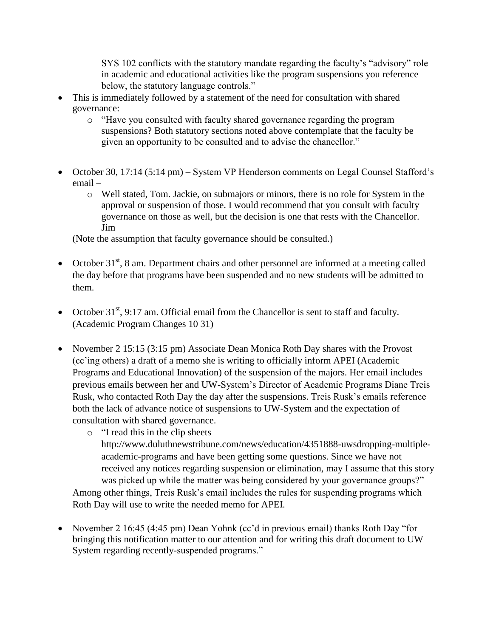SYS 102 conflicts with the statutory mandate regarding the faculty's "advisory" role in academic and educational activities like the program suspensions you reference below, the statutory language controls."

- This is immediately followed by a statement of the need for consultation with shared governance:
	- o "Have you consulted with faculty shared governance regarding the program suspensions? Both statutory sections noted above contemplate that the faculty be given an opportunity to be consulted and to advise the chancellor."
- October 30, 17:14 (5:14 pm) System VP Henderson comments on Legal Counsel Stafford's email –
	- o Well stated, Tom. Jackie, on submajors or minors, there is no role for System in the approval or suspension of those. I would recommend that you consult with faculty governance on those as well, but the decision is one that rests with the Chancellor. Jim

(Note the assumption that faculty governance should be consulted.)

- October  $31<sup>st</sup>$ , 8 am. Department chairs and other personnel are informed at a meeting called the day before that programs have been suspended and no new students will be admitted to them.
- October  $31<sup>st</sup>$ , 9:17 am. Official email from the Chancellor is sent to staff and faculty. (Academic Program Changes 10 31)
- November 2 15:15 (3:15 pm) Associate Dean Monica Roth Day shares with the Provost (cc'ing others) a draft of a memo she is writing to officially inform APEI (Academic Programs and Educational Innovation) of the suspension of the majors. Her email includes previous emails between her and UW-System's Director of Academic Programs Diane Treis Rusk, who contacted Roth Day the day after the suspensions. Treis Rusk's emails reference both the lack of advance notice of suspensions to UW-System and the expectation of consultation with shared governance.
	- o "I read this in the clip sheets
		- http://www.duluthnewstribune.com/news/education/4351888-uwsdropping-multipleacademic-programs and have been getting some questions. Since we have not received any notices regarding suspension or elimination, may I assume that this story was picked up while the matter was being considered by your governance groups?"

Among other things, Treis Rusk's email includes the rules for suspending programs which Roth Day will use to write the needed memo for APEI.

• November 2 16:45 (4:45 pm) Dean Yohnk (cc'd in previous email) thanks Roth Day "for bringing this notification matter to our attention and for writing this draft document to UW System regarding recently-suspended programs."